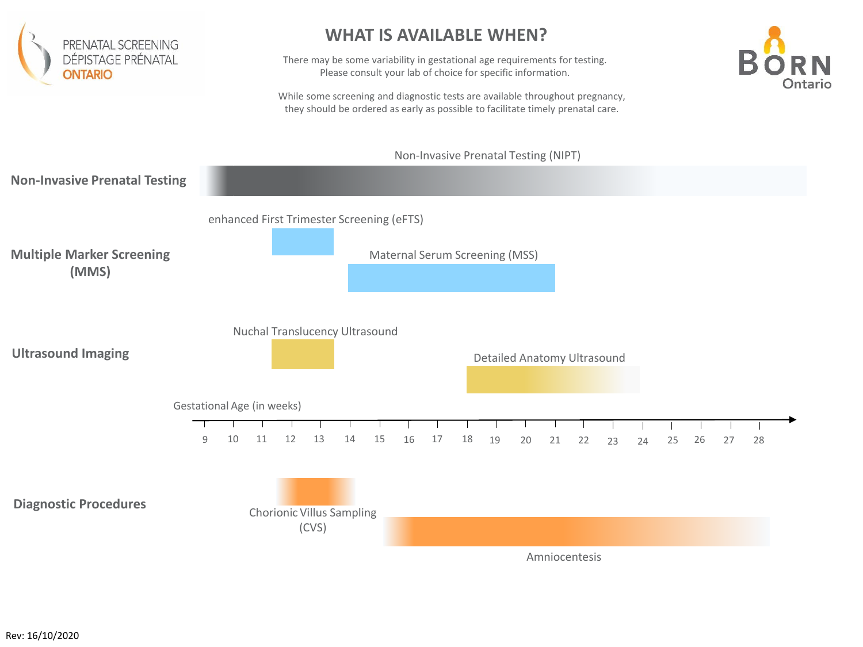

## **WHAT IS AVAILABLE WHEN?**

There may be some variability in gestational age requirements for testing. Please consult your lab of choice for specific information.



While some screening and diagnostic tests are available throughout pregnancy, they should be ordered as early as possible to facilitate timely prenatal care.